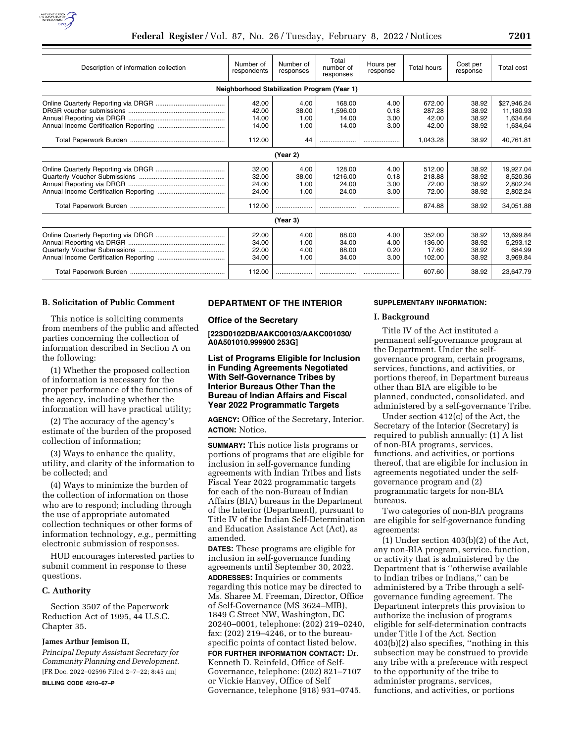

| Description of information collection | Number of<br>respondents                    | Number of<br>responses        | Total<br>number of<br>responses      | Hours per<br>response        | <b>Total hours</b>                  | Cost per<br>response             | Total cost                                       |
|---------------------------------------|---------------------------------------------|-------------------------------|--------------------------------------|------------------------------|-------------------------------------|----------------------------------|--------------------------------------------------|
|                                       | Neighborhood Stabilization Program (Year 1) |                               |                                      |                              |                                     |                                  |                                                  |
|                                       | 42.00<br>42.00<br>14.00<br>14.00            | 4.00<br>38.00<br>1.00<br>1.00 | 168.00<br>1.596.00<br>14.00<br>14.00 | 4.00<br>0.18<br>3.00<br>3.00 | 672.00<br>287.28<br>42.00<br>42.00  | 38.92<br>38.92<br>38.92<br>38.92 | \$27.946.24<br>11.180.93<br>1,634.64<br>1,634,64 |
|                                       | 112.00                                      | 44                            | .                                    |                              | 1,043.28                            | 38.92                            | 40,761.81                                        |
|                                       |                                             | (Year 2)                      |                                      |                              |                                     |                                  |                                                  |
|                                       | 32.00<br>32.00<br>24.00<br>24.00            | 4.00<br>38.00<br>1.00<br>1.00 | 128.00<br>1216.00<br>24.00<br>24.00  | 4.00<br>0.18<br>3.00<br>3.00 | 512.00<br>218.88<br>72.00<br>72.00  | 38.92<br>38.92<br>38.92<br>38.92 | 19.927.04<br>8.520.36<br>2.802.24<br>2,802.24    |
|                                       | 112.00                                      |                               |                                      |                              | 874.88                              | 38.92                            | 34,051.88                                        |
|                                       |                                             | (Year 3)                      |                                      |                              |                                     |                                  |                                                  |
|                                       | 22.00<br>34.00<br>22.00<br>34.00            | 4.00<br>1.00<br>4.00<br>1.00  | 88.00<br>34.00<br>88.00<br>34.00     | 4.00<br>4.00<br>0.20<br>3.00 | 352.00<br>136.00<br>17.60<br>102.00 | 38.92<br>38.92<br>38.92<br>38.92 | 13.699.84<br>5.293.12<br>684.99<br>3.969.84      |
|                                       | 112.00                                      |                               |                                      |                              | 607.60                              | 38.92                            | 23,647.79                                        |

#### **B. Solicitation of Public Comment**

This notice is soliciting comments from members of the public and affected parties concerning the collection of information described in Section A on the following:

(1) Whether the proposed collection of information is necessary for the proper performance of the functions of the agency, including whether the information will have practical utility;

(2) The accuracy of the agency's estimate of the burden of the proposed collection of information;

(3) Ways to enhance the quality, utility, and clarity of the information to be collected; and

(4) Ways to minimize the burden of the collection of information on those who are to respond; including through the use of appropriate automated collection techniques or other forms of information technology, *e.g.,* permitting electronic submission of responses.

HUD encourages interested parties to submit comment in response to these questions.

#### **C. Authority**

Section 3507 of the Paperwork Reduction Act of 1995, 44 U.S.C. Chapter 35.

#### **James Arthur Jemison II,**

*Principal Deputy Assistant Secretary for Community Planning and Development.*  [FR Doc. 2022–02596 Filed 2–7–22; 8:45 am]

**BILLING CODE 4210–67–P** 

# **DEPARTMENT OF THE INTERIOR**

**Office of the Secretary** 

**[223D0102DB/AAKC00103/AAKC001030/ A0A501010.999900 253G]** 

**List of Programs Eligible for Inclusion in Funding Agreements Negotiated With Self-Governance Tribes by Interior Bureaus Other Than the Bureau of Indian Affairs and Fiscal Year 2022 Programmatic Targets** 

**AGENCY:** Office of the Secretary, Interior. **ACTION:** Notice.

**SUMMARY:** This notice lists programs or portions of programs that are eligible for inclusion in self-governance funding agreements with Indian Tribes and lists Fiscal Year 2022 programmatic targets for each of the non-Bureau of Indian Affairs (BIA) bureaus in the Department of the Interior (Department), pursuant to Title IV of the Indian Self-Determination and Education Assistance Act (Act), as amended.

**DATES:** These programs are eligible for inclusion in self-governance funding agreements until September 30, 2022.

**ADDRESSES:** Inquiries or comments regarding this notice may be directed to Ms. Sharee M. Freeman, Director, Office of Self-Governance (MS 3624–MIB), 1849 C Street NW, Washington, DC 20240–0001, telephone: (202) 219–0240, fax: (202) 219–4246, or to the bureauspecific points of contact listed below.

**FOR FURTHER INFORMATION CONTACT:** Dr. Kenneth D. Reinfeld, Office of Self-Governance, telephone: (202) 821–7107 or Vickie Hanvey, Office of Self Governance, telephone (918) 931–0745.

#### **SUPPLEMENTARY INFORMATION:**

#### **I. Background**

Title IV of the Act instituted a permanent self-governance program at the Department. Under the selfgovernance program, certain programs, services, functions, and activities, or portions thereof, in Department bureaus other than BIA are eligible to be planned, conducted, consolidated, and administered by a self-governance Tribe.

Under section 412(c) of the Act, the Secretary of the Interior (Secretary) is required to publish annually: (1) A list of non-BIA programs, services, functions, and activities, or portions thereof, that are eligible for inclusion in agreements negotiated under the selfgovernance program and (2) programmatic targets for non-BIA bureaus.

Two categories of non-BIA programs are eligible for self-governance funding agreements:

(1) Under section 403(b)(2) of the Act, any non-BIA program, service, function, or activity that is administered by the Department that is ''otherwise available to Indian tribes or Indians,'' can be administered by a Tribe through a selfgovernance funding agreement. The Department interprets this provision to authorize the inclusion of programs eligible for self-determination contracts under Title I of the Act. Section 403(b)(2) also specifies, ''nothing in this subsection may be construed to provide any tribe with a preference with respect to the opportunity of the tribe to administer programs, services, functions, and activities, or portions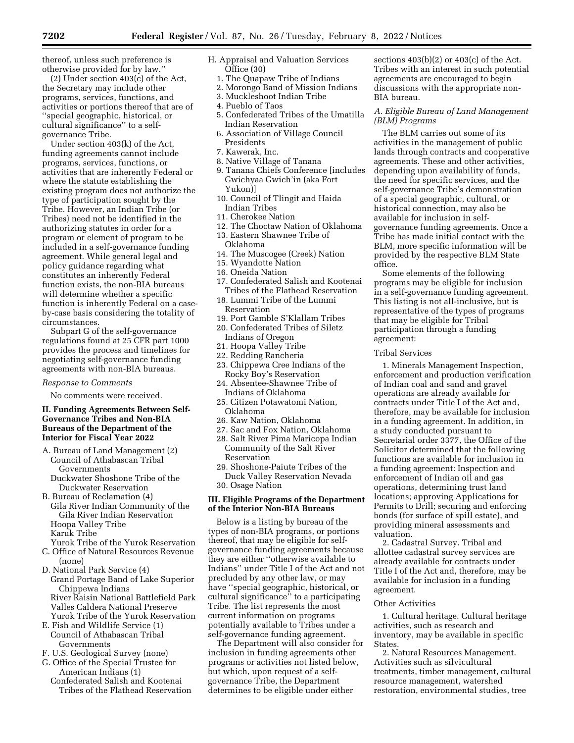thereof, unless such preference is otherwise provided for by law.''

(2) Under section 403(c) of the Act, the Secretary may include other programs, services, functions, and activities or portions thereof that are of ''special geographic, historical, or cultural significance'' to a selfgovernance Tribe.

Under section 403(k) of the Act, funding agreements cannot include programs, services, functions, or activities that are inherently Federal or where the statute establishing the existing program does not authorize the type of participation sought by the Tribe. However, an Indian Tribe (or Tribes) need not be identified in the authorizing statutes in order for a program or element of program to be included in a self-governance funding agreement. While general legal and policy guidance regarding what constitutes an inherently Federal function exists, the non-BIA bureaus will determine whether a specific function is inherently Federal on a caseby-case basis considering the totality of circumstances.

Subpart G of the self-governance regulations found at 25 CFR part 1000 provides the process and timelines for negotiating self-governance funding agreements with non-BIA bureaus.

#### *Response to Comments*

No comments were received.

### **II. Funding Agreements Between Self-Governance Tribes and Non-BIA Bureaus of the Department of the Interior for Fiscal Year 2022**

- A. Bureau of Land Management (2) Council of Athabascan Tribal Governments
	- Duckwater Shoshone Tribe of the Duckwater Reservation
- B. Bureau of Reclamation (4) Gila River Indian Community of the Gila River Indian Reservation Hoopa Valley Tribe Karuk Tribe
- Yurok Tribe of the Yurok Reservation C. Office of Natural Resources Revenue (none)
- D. National Park Service (4) Grand Portage Band of Lake Superior Chippewa Indians River Raisin National Battlefield Park Valles Caldera National Preserve
- Yurok Tribe of the Yurok Reservation E. Fish and Wildlife Service (1) Council of Athabascan Tribal
- Governments F. U.S. Geological Survey (none)
- 
- G. Office of the Special Trustee for American Indians (1) Confederated Salish and Kootenai
	- Tribes of the Flathead Reservation
- H. Appraisal and Valuation Services Office (30)
	- 1. The Quapaw Tribe of Indians
	- 2. Morongo Band of Mission Indians
	- 3. Muckleshoot Indian Tribe
	- 4. Pueblo of Taos
	- 5. Confederated Tribes of the Umatilla Indian Reservation
	- 6. Association of Village Council Presidents
	- 7. Kawerak, Inc.
	- 8. Native Village of Tanana
	- 9. Tanana Chiefs Conference [includes Gwichyaa Gwich'in (aka Fort Yukon)]
	- 10. Council of Tlingit and Haida Indian Tribes
	- 11. Cherokee Nation
	- 12. The Choctaw Nation of Oklahoma
	- 13. Eastern Shawnee Tribe of
	- Oklahoma
	- 14. The Muscogee (Creek) Nation
	- 15. Wyandotte Nation
	- 16. Oneida Nation
	- 17. Confederated Salish and Kootenai Tribes of the Flathead Reservation
	- 18. Lummi Tribe of the Lummi Reservation
	- 19. Port Gamble S'Klallam Tribes
	- 20. Confederated Tribes of Siletz Indians of Oregon
	- 21. Hoopa Valley Tribe
	- 22. Redding Rancheria
	- 23. Chippewa Cree Indians of the Rocky Boy's Reservation
	- 24. Absentee-Shawnee Tribe of Indians of Oklahoma
	- 25. Citizen Potawatomi Nation, Oklahoma
	- 26. Kaw Nation, Oklahoma
	- 27. Sac and Fox Nation, Oklahoma
	- 28. Salt River Pima Maricopa Indian Community of the Salt River Reservation
	- 29. Shoshone-Paiute Tribes of the Duck Valley Reservation Nevada 30. Osage Nation

#### **III. Eligible Programs of the Department of the Interior Non-BIA Bureaus**

Below is a listing by bureau of the types of non-BIA programs, or portions thereof, that may be eligible for selfgovernance funding agreements because they are either ''otherwise available to Indians'' under Title I of the Act and not precluded by any other law, or may have ''special geographic, historical, or cultural significance'' to a participating Tribe. The list represents the most current information on programs potentially available to Tribes under a self-governance funding agreement.

The Department will also consider for inclusion in funding agreements other programs or activities not listed below, but which, upon request of a selfgovernance Tribe, the Department determines to be eligible under either

sections  $403(b)(2)$  or  $403(c)$  of the Act. Tribes with an interest in such potential agreements are encouraged to begin discussions with the appropriate non-BIA bureau.

# *A. Eligible Bureau of Land Management (BLM) Programs*

The BLM carries out some of its activities in the management of public lands through contracts and cooperative agreements. These and other activities, depending upon availability of funds, the need for specific services, and the self-governance Tribe's demonstration of a special geographic, cultural, or historical connection, may also be available for inclusion in selfgovernance funding agreements. Once a Tribe has made initial contact with the BLM, more specific information will be provided by the respective BLM State office.

Some elements of the following programs may be eligible for inclusion in a self-governance funding agreement. This listing is not all-inclusive, but is representative of the types of programs that may be eligible for Tribal participation through a funding agreement:

#### Tribal Services

1. Minerals Management Inspection, enforcement and production verification of Indian coal and sand and gravel operations are already available for contracts under Title I of the Act and, therefore, may be available for inclusion in a funding agreement. In addition, in a study conducted pursuant to Secretarial order 3377, the Office of the Solicitor determined that the following functions are available for inclusion in a funding agreement: Inspection and enforcement of Indian oil and gas operations, determining trust land locations; approving Applications for Permits to Drill; securing and enforcing bonds (for surface of spill estate), and providing mineral assessments and valuation.

2. Cadastral Survey. Tribal and allottee cadastral survey services are already available for contracts under Title I of the Act and, therefore, may be available for inclusion in a funding agreement.

#### Other Activities

1. Cultural heritage. Cultural heritage activities, such as research and inventory, may be available in specific States.

2. Natural Resources Management. Activities such as silvicultural treatments, timber management, cultural resource management, watershed restoration, environmental studies, tree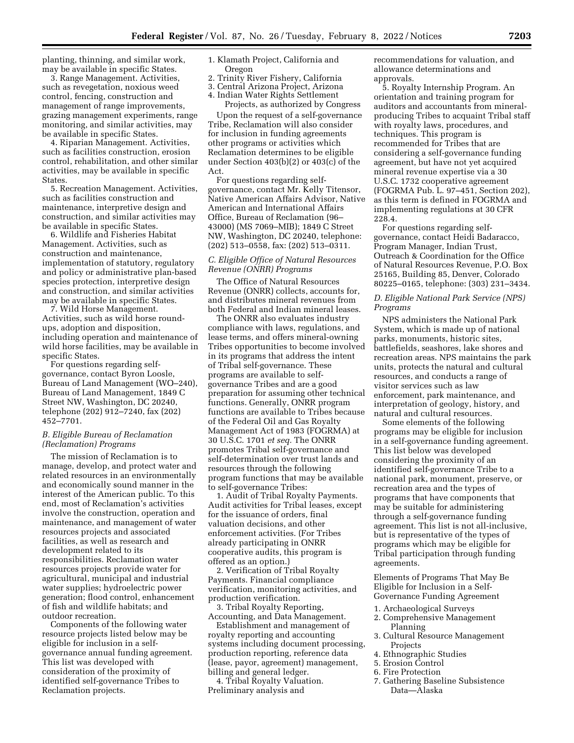planting, thinning, and similar work, may be available in specific States.

3. Range Management. Activities, such as revegetation, noxious weed control, fencing, construction and management of range improvements, grazing management experiments, range monitoring, and similar activities, may be available in specific States.

4. Riparian Management. Activities, such as facilities construction, erosion control, rehabilitation, and other similar activities, may be available in specific States.

5. Recreation Management. Activities, such as facilities construction and maintenance, interpretive design and construction, and similar activities may be available in specific States.

6. Wildlife and Fisheries Habitat Management. Activities, such as construction and maintenance, implementation of statutory, regulatory and policy or administrative plan-based species protection, interpretive design and construction, and similar activities may be available in specific States.

7. Wild Horse Management. Activities, such as wild horse roundups, adoption and disposition, including operation and maintenance of wild horse facilities, may be available in specific States.

For questions regarding selfgovernance, contact Byron Loosle, Bureau of Land Management (WO–240), Bureau of Land Management, 1849 C Street NW, Washington, DC 20240, telephone (202) 912–7240, fax (202) 452–7701.

### *B. Eligible Bureau of Reclamation (Reclamation) Programs*

The mission of Reclamation is to manage, develop, and protect water and related resources in an environmentally and economically sound manner in the interest of the American public. To this end, most of Reclamation's activities involve the construction, operation and maintenance, and management of water resources projects and associated facilities, as well as research and development related to its responsibilities. Reclamation water resources projects provide water for agricultural, municipal and industrial water supplies; hydroelectric power generation; flood control, enhancement of fish and wildlife habitats; and outdoor recreation.

Components of the following water resource projects listed below may be eligible for inclusion in a selfgovernance annual funding agreement. This list was developed with consideration of the proximity of identified self-governance Tribes to Reclamation projects.

1. Klamath Project, California and Oregon

- 2. Trinity River Fishery, California
- 3. Central Arizona Project, Arizona
- 4. Indian Water Rights Settlement

Projects, as authorized by Congress

Upon the request of a self-governance Tribe, Reclamation will also consider for inclusion in funding agreements other programs or activities which Reclamation determines to be eligible under Section 403(b)(2) or 403(c) of the Act.

For questions regarding selfgovernance, contact Mr. Kelly Titensor, Native American Affairs Advisor, Native American and International Affairs Office, Bureau of Reclamation (96– 43000) (MS 7069–MIB); 1849 C Street NW, Washington, DC 20240, telephone: (202) 513–0558, fax: (202) 513–0311.

# *C. Eligible Office of Natural Resources Revenue (ONRR) Programs*

The Office of Natural Resources Revenue (ONRR) collects, accounts for, and distributes mineral revenues from both Federal and Indian mineral leases.

The ONRR also evaluates industry compliance with laws, regulations, and lease terms, and offers mineral-owning Tribes opportunities to become involved in its programs that address the intent of Tribal self-governance. These programs are available to selfgovernance Tribes and are a good preparation for assuming other technical functions. Generally, ONRR program functions are available to Tribes because of the Federal Oil and Gas Royalty Management Act of 1983 (FOGRMA) at 30 U.S.C. 1701 *et seq.* The ONRR promotes Tribal self-governance and self-determination over trust lands and resources through the following program functions that may be available to self-governance Tribes:

1. Audit of Tribal Royalty Payments. Audit activities for Tribal leases, except for the issuance of orders, final valuation decisions, and other enforcement activities. (For Tribes already participating in ONRR cooperative audits, this program is offered as an option.)

2. Verification of Tribal Royalty Payments. Financial compliance verification, monitoring activities, and production verification.

3. Tribal Royalty Reporting, Accounting, and Data Management.

Establishment and management of royalty reporting and accounting systems including document processing, production reporting, reference data (lease, payor, agreement) management, billing and general ledger.

4. Tribal Royalty Valuation. Preliminary analysis and

recommendations for valuation, and allowance determinations and approvals.

5. Royalty Internship Program. An orientation and training program for auditors and accountants from mineralproducing Tribes to acquaint Tribal staff with royalty laws, procedures, and techniques. This program is recommended for Tribes that are considering a self-governance funding agreement, but have not yet acquired mineral revenue expertise via a 30 U.S.C. 1732 cooperative agreement (FOGRMA Pub. L. 97–451, Section 202), as this term is defined in FOGRMA and implementing regulations at 30 CFR 228.4.

For questions regarding selfgovernance, contact Heidi Badaracco, Program Manager, Indian Trust, Outreach & Coordination for the Office of Natural Resources Revenue, P.O. Box 25165, Building 85, Denver, Colorado 80225–0165, telephone: (303) 231–3434.

# *D. Eligible National Park Service (NPS) Programs*

NPS administers the National Park System, which is made up of national parks, monuments, historic sites, battlefields, seashores, lake shores and recreation areas. NPS maintains the park units, protects the natural and cultural resources, and conducts a range of visitor services such as law enforcement, park maintenance, and interpretation of geology, history, and natural and cultural resources.

Some elements of the following programs may be eligible for inclusion in a self-governance funding agreement. This list below was developed considering the proximity of an identified self-governance Tribe to a national park, monument, preserve, or recreation area and the types of programs that have components that may be suitable for administering through a self-governance funding agreement. This list is not all-inclusive, but is representative of the types of programs which may be eligible for Tribal participation through funding agreements.

Elements of Programs That May Be Eligible for Inclusion in a Self-Governance Funding Agreement

- 1. Archaeological Surveys
- 2. Comprehensive Management Planning
- 3. Cultural Resource Management Projects
- 4. Ethnographic Studies
- 5. Erosion Control
- 6. Fire Protection
- 7. Gathering Baseline Subsistence Data—Alaska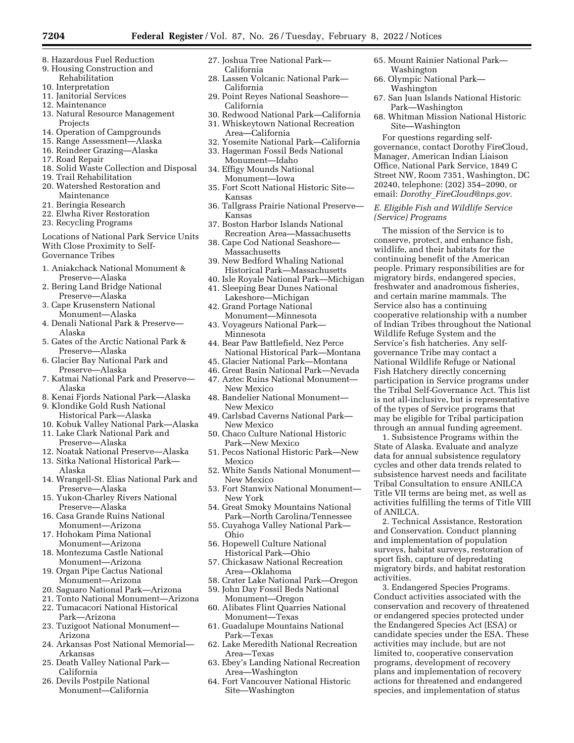- 8. Hazardous Fuel Reduction
- 9. Housing Construction and
- Rehabilitation 10. Interpretation
- 11. Janitorial Services
- 12. Maintenance
- 13. Natural Resource Management Projects
- 14. Operation of Campgrounds
- 15. Range Assessment—Alaska
- 16. Reindeer Grazing—Alaska
- 17. Road Repair
- 18. Solid Waste Collection and Disposal
- 19. Trail Rehabilitation
- 20. Watershed Restoration and Maintenance
- 21. Beringia Research
- 22. Elwha River Restoration
- 23. Recycling Programs

Locations of National Park Service Units With Close Proximity to Self-Governance Tribes

- 1. Aniakchack National Monument & Preserve—Alaska
- 2. Bering Land Bridge National Preserve—Alaska
- 3. Cape Krusenstern National Monument—Alaska
- 4. Denali National Park & Preserve— Alaska
- 5. Gates of the Arctic National Park & Preserve—Alaska
- 6. Glacier Bay National Park and Preserve—Alaska
- 7. Katmai National Park and Preserve— Alaska
- 8. Kenai Fjords National Park—Alaska 9. Klondike Gold Rush National
- Historical Park—Alaska 10. Kobuk Valley National Park—Alaska
- 11. Lake Clark National Park and Preserve—Alaska
- 12. Noatak National Preserve—Alaska
- 13. Sitka National Historical Park— Alaska
- 14. Wrangell-St. Elias National Park and Preserve—Alaska
- 15. Yukon-Charley Rivers National Preserve—Alaska
- 16. Casa Grande Ruins National Monument—Arizona
- 17. Hohokam Pima National Monument—Arizona
- 18. Montezuma Castle National Monument—Arizona
- 19. Organ Pipe Cactus National Monument—Arizona
- 20. Saguaro National Park—Arizona
- 21. Tonto National Monument—Arizona
- 22. Tumacacori National Historical Park—Arizona
- 23. Tuzigoot National Monument— Arizona
- 24. Arkansas Post National Memorial— Arkansas
- 25. Death Valley National Park— California
- 26. Devils Postpile National Monument—California
- 27. Joshua Tree National Park— California
- 28. Lassen Volcanic National Park— California
- 29. Point Reyes National Seashore— California
- 30. Redwood National Park—California
- 31. Whiskeytown National Recreation Area—California
- 32. Yosemite National Park—California 33. Hagerman Fossil Beds National
- Monument—Idaho 34. Effigy Mounds National Monument—Iowa
- 35. Fort Scott National Historic Site— Kansas
- 36. Tallgrass Prairie National Preserve— Kansas
- 37. Boston Harbor Islands National Recreation Area—Massachusetts
- 38. Cape Cod National Seashore— Massachusetts
- 39. New Bedford Whaling National Historical Park—Massachusetts
- 40. Isle Royale National Park—Michigan
- 41. Sleeping Bear Dunes National Lakeshore—Michigan
- 42. Grand Portage National Monument—Minnesota
- 43. Voyageurs National Park— Minnesota
- 44. Bear Paw Battlefield, Nez Perce National Historical Park—Montana
- 45. Glacier National Park—Montana
- 46. Great Basin National Park—Nevada
- 47. Aztec Ruins National Monument—
- New Mexico 48. Bandelier National Monument— New Mexico
- 49. Carlsbad Caverns National Park— New Mexico
- 50. Chaco Culture National Historic Park—New Mexico
- 51. Pecos National Historic Park—New Mexico
- 52. White Sands National Monument— New Mexico
- 53. Fort Stanwix National Monument— New York
- 54. Great Smoky Mountains National Park—North Carolina/Tennessee
- 55. Cuyahoga Valley National Park— Ohio
- 56. Hopewell Culture National Historical Park—Ohio
- 57. Chickasaw National Recreation Area—Oklahoma
- 58. Crater Lake National Park—Oregon
- 59. John Day Fossil Beds National Monument—Oregon
- 60. Alibates Flint Quarries National Monument—Texas
- 61. Guadalupe Mountains National Park—Texas
- 62. Lake Meredith National Recreation Area—Texas
- 63. Ebey's Landing National Recreation Area—Washington
- 64. Fort Vancouver National Historic Site—Washington
- 65. Mount Rainier National Park— Washington
- 66. Olympic National Park— Washington
- 67. San Juan Islands National Historic Park—Washington
- 68. Whitman Mission National Historic Site—Washington

For questions regarding selfgovernance, contact Dorothy FireCloud, Manager, American Indian Liaison Office, National Park Service, 1849 C Street NW, Room 7351, Washington, DC 20240, telephone: (202) 354–2090, or email: *Dorothy*\_*[FireCloud@nps.gov.](mailto:Dorothy_FireCloud@nps.gov)* 

*E. Eligible Fish and Wildlife Service (Service) Programs* 

The mission of the Service is to conserve, protect, and enhance fish, wildlife, and their habitats for the continuing benefit of the American people. Primary responsibilities are for migratory birds, endangered species, freshwater and anadromous fisheries, and certain marine mammals. The Service also has a continuing cooperative relationship with a number of Indian Tribes throughout the National Wildlife Refuge System and the Service's fish hatcheries. Any selfgovernance Tribe may contact a National Wildlife Refuge or National Fish Hatchery directly concerning participation in Service programs under the Tribal Self-Governance Act. This list is not all-inclusive, but is representative of the types of Service programs that may be eligible for Tribal participation through an annual funding agreement.

1. Subsistence Programs within the State of Alaska. Evaluate and analyze data for annual subsistence regulatory cycles and other data trends related to subsistence harvest needs and facilitate Tribal Consultation to ensure ANILCA Title VII terms are being met, as well as activities fulfilling the terms of Title VIII of ANILCA.

2. Technical Assistance, Restoration and Conservation. Conduct planning and implementation of population surveys, habitat surveys, restoration of sport fish, capture of depredating migratory birds, and habitat restoration activities.

3. Endangered Species Programs. Conduct activities associated with the conservation and recovery of threatened or endangered species protected under the Endangered Species Act (ESA) or candidate species under the ESA. These activities may include, but are not limited to, cooperative conservation programs, development of recovery plans and implementation of recovery actions for threatened and endangered species, and implementation of status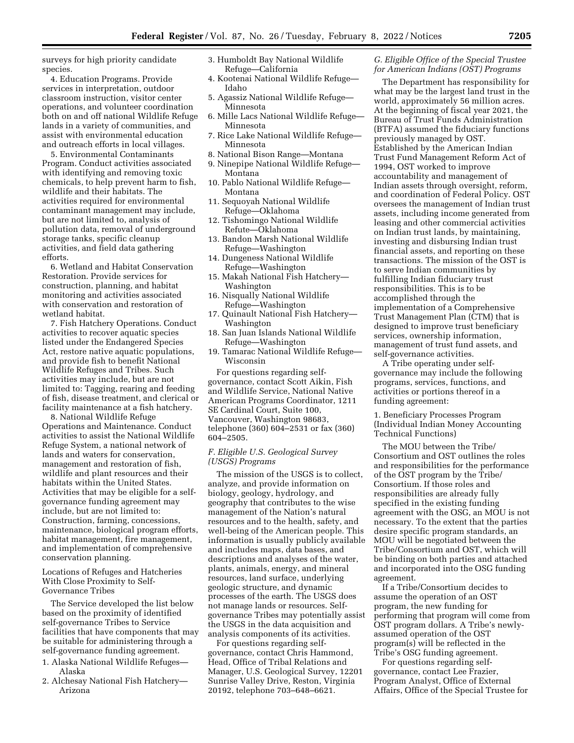surveys for high priority candidate species.

4. Education Programs. Provide services in interpretation, outdoor classroom instruction, visitor center operations, and volunteer coordination both on and off national Wildlife Refuge lands in a variety of communities, and assist with environmental education and outreach efforts in local villages.

5. Environmental Contaminants Program. Conduct activities associated with identifying and removing toxic chemicals, to help prevent harm to fish, wildlife and their habitats. The activities required for environmental contaminant management may include, but are not limited to, analysis of pollution data, removal of underground storage tanks, specific cleanup activities, and field data gathering efforts.

6. Wetland and Habitat Conservation Restoration. Provide services for construction, planning, and habitat monitoring and activities associated with conservation and restoration of wetland habitat.

7. Fish Hatchery Operations. Conduct activities to recover aquatic species listed under the Endangered Species Act, restore native aquatic populations, and provide fish to benefit National Wildlife Refuges and Tribes. Such activities may include, but are not limited to: Tagging, rearing and feeding of fish, disease treatment, and clerical or facility maintenance at a fish hatchery.

8. National Wildlife Refuge Operations and Maintenance. Conduct activities to assist the National Wildlife Refuge System, a national network of lands and waters for conservation, management and restoration of fish, wildlife and plant resources and their habitats within the United States. Activities that may be eligible for a selfgovernance funding agreement may include, but are not limited to: Construction, farming, concessions, maintenance, biological program efforts, habitat management, fire management, and implementation of comprehensive conservation planning.

Locations of Refuges and Hatcheries With Close Proximity to Self-Governance Tribes

The Service developed the list below based on the proximity of identified self-governance Tribes to Service facilities that have components that may be suitable for administering through a self-governance funding agreement.

- 1. Alaska National Wildlife Refuges— Alaska
- 2. Alchesay National Fish Hatchery— Arizona
- 3. Humboldt Bay National Wildlife Refuge—California
- 4. Kootenai National Wildlife Refuge— Idaho
- 5. Agassiz National Wildlife Refuge— Minnesota
- 6. Mille Lacs National Wildlife Refuge— Minnesota
- 7. Rice Lake National Wildlife Refuge— Minnesota
- 8. National Bison Range—Montana
- 9. Ninepipe National Wildlife Refuge— Montana
- 10. Pablo National Wildlife Refuge— Montana
- 11. Sequoyah National Wildlife Refuge—Oklahoma
- 12. Tishomingo National Wildlife Refute—Oklahoma
- 13. Bandon Marsh National Wildlife Refuge—Washington
- 14. Dungeness National Wildlife Refuge—Washington
- 15. Makah National Fish Hatchery— Washington
- 16. Nisqually National Wildlife Refuge—Washington
- 17. Quinault National Fish Hatchery— Washington
- 18. San Juan Islands National Wildlife Refuge—Washington
- 19. Tamarac National Wildlife Refuge— Wisconsin

For questions regarding selfgovernance, contact Scott Aikin, Fish and Wildlife Service, National Native American Programs Coordinator, 1211 SE Cardinal Court, Suite 100, Vancouver, Washington 98683, telephone (360) 604–2531 or fax (360) 604–2505.

#### *F. Eligible U.S. Geological Survey (USGS) Programs*

The mission of the USGS is to collect, analyze, and provide information on biology, geology, hydrology, and geography that contributes to the wise management of the Nation's natural resources and to the health, safety, and well-being of the American people. This information is usually publicly available and includes maps, data bases, and descriptions and analyses of the water, plants, animals, energy, and mineral resources, land surface, underlying geologic structure, and dynamic processes of the earth. The USGS does not manage lands or resources. Selfgovernance Tribes may potentially assist the USGS in the data acquisition and analysis components of its activities.

For questions regarding selfgovernance, contact Chris Hammond, Head, Office of Tribal Relations and Manager, U.S. Geological Survey, 12201 Sunrise Valley Drive, Reston, Virginia 20192, telephone 703–648–6621.

### *G. Eligible Office of the Special Trustee for American Indians (OST) Programs*

The Department has responsibility for what may be the largest land trust in the world, approximately 56 million acres. At the beginning of fiscal year 2021, the Bureau of Trust Funds Administration (BTFA) assumed the fiduciary functions previously managed by OST. Established by the American Indian Trust Fund Management Reform Act of 1994, OST worked to improve accountability and management of Indian assets through oversight, reform, and coordination of Federal Policy. OST oversees the management of Indian trust assets, including income generated from leasing and other commercial activities on Indian trust lands, by maintaining, investing and disbursing Indian trust financial assets, and reporting on these transactions. The mission of the OST is to serve Indian communities by fulfilling Indian fiduciary trust responsibilities. This is to be accomplished through the implementation of a Comprehensive Trust Management Plan (CTM) that is designed to improve trust beneficiary services, ownership information, management of trust fund assets, and self-governance activities.

A Tribe operating under selfgovernance may include the following programs, services, functions, and activities or portions thereof in a funding agreement:

1. Beneficiary Processes Program (Individual Indian Money Accounting Technical Functions)

The MOU between the Tribe/ Consortium and OST outlines the roles and responsibilities for the performance of the OST program by the Tribe/ Consortium. If those roles and responsibilities are already fully specified in the existing funding agreement with the OSG, an MOU is not necessary. To the extent that the parties desire specific program standards, an MOU will be negotiated between the Tribe/Consortium and OST, which will be binding on both parties and attached and incorporated into the OSG funding agreement.

If a Tribe/Consortium decides to assume the operation of an OST program, the new funding for performing that program will come from OST program dollars. A Tribe's newlyassumed operation of the OST program(s) will be reflected in the Tribe's OSG funding agreement.

For questions regarding selfgovernance, contact Lee Frazier, Program Analyst, Office of External Affairs, Office of the Special Trustee for